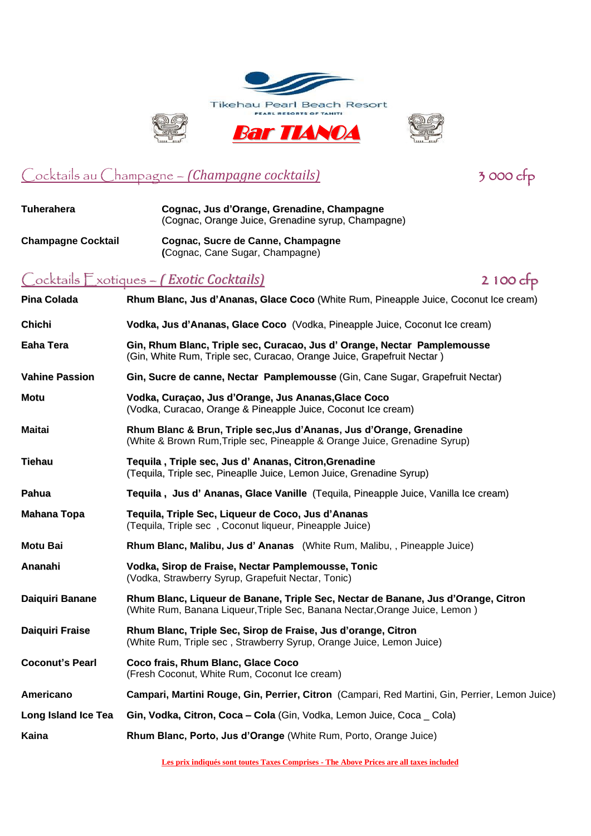



### Cocktails au Champagne – *(Champagne cocktails)* 3 000 cfp

**Tuherahera Cognac, Jus d'Orange, Grenadine, Champagne** (Cognac, Orange Juice, Grenadine syrup, Champagne) **Champagne Cocktail Cognac, Sucre de Canne, Champagne (**Cognac, Cane Sugar, Champagne) Cocktails Exotiques – *( Exotic Cocktails)* 2 100 cfp **Pina Colada Rhum Blanc, Jus d'Ananas, Glace Coco** (White Rum, Pineapple Juice, Coconut Ice cream) **Chichi Vodka, Jus d'Ananas, Glace Coco** (Vodka, Pineapple Juice, Coconut Ice cream) **Eaha Tera Gin, Rhum Blanc, Triple sec, Curacao, Jus d' Orange, Nectar Pamplemousse** (Gin, White Rum, Triple sec, Curacao, Orange Juice, Grapefruit Nectar ) **Vahine Passion Gin, Sucre de canne, Nectar Pamplemousse** (Gin, Cane Sugar, Grapefruit Nectar) **Motu Vodka, Curaçao, Jus d'Orange, Jus Ananas,Glace Coco** (Vodka, Curacao, Orange & Pineapple Juice, Coconut Ice cream) **Maitai Rhum Blanc & Brun, Triple sec,Jus d'Ananas, Jus d'Orange, Grenadine** (White & Brown Rum,Triple sec, Pineapple & Orange Juice, Grenadine Syrup) **Tiehau Tequila , Triple sec, Jus d' Ananas, Citron,Grenadine** (Tequila, Triple sec, Pineaplle Juice, Lemon Juice, Grenadine Syrup) **Pahua Tequila , Jus d' Ananas, Glace Vanille** (Tequila, Pineapple Juice, Vanilla Ice cream) **Mahana Topa Tequila, Triple Sec, Liqueur de Coco, Jus d'Ananas** (Tequila, Triple sec , Coconut liqueur, Pineapple Juice) **Motu Bai Rhum Blanc, Malibu, Jus d' Ananas** (White Rum, Malibu, , Pineapple Juice) **Ananahi Vodka, Sirop de Fraise, Nectar Pamplemousse, Tonic** (Vodka, Strawberry Syrup, Grapefuit Nectar, Tonic) **Daiquiri Banane Rhum Blanc, Liqueur de Banane, Triple Sec, Nectar de Banane, Jus d'Orange, Citron** (White Rum, Banana Liqueur,Triple Sec, Banana Nectar,Orange Juice, Lemon ) **Daiquiri Fraise Rhum Blanc, Triple Sec, Sirop de Fraise, Jus d'orange, Citron** (White Rum, Triple sec , Strawberry Syrup, Orange Juice, Lemon Juice) **Coconut's Pearl Coco frais, Rhum Blanc, Glace Coco** (Fresh Coconut, White Rum, Coconut Ice cream) **Americano Campari, Martini Rouge, Gin, Perrier, Citron** (Campari, Red Martini, Gin, Perrier, Lemon Juice) **Long Island Ice Tea Gin, Vodka, Citron, Coca – Cola** (Gin, Vodka, Lemon Juice, Coca \_ Cola) **Kaina Rhum Blanc, Porto, Jus d'Orange** (White Rum, Porto, Orange Juice)

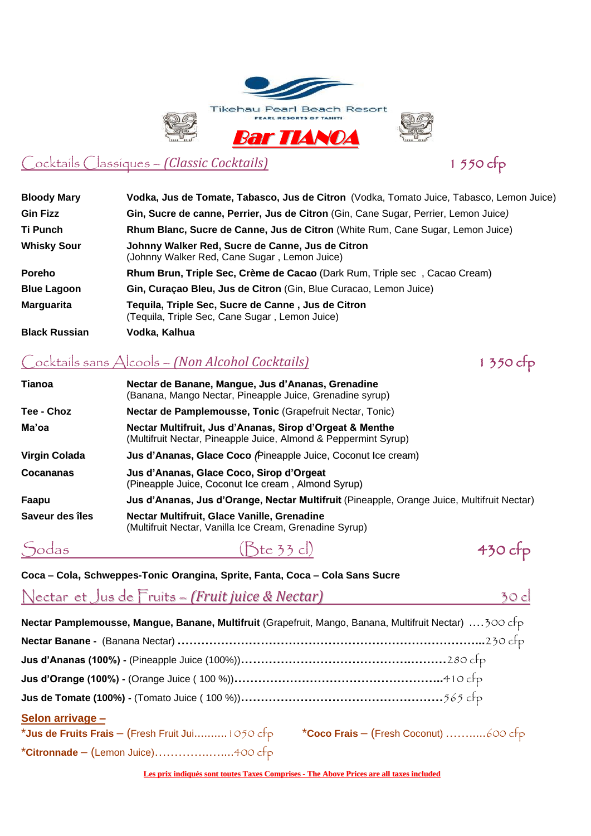



## Cocktails Classiques – *(Classic Cocktails)* 1 550 cfp

| <b>Bloody Mary</b>   | Vodka, Jus de Tomate, Tabasco, Jus de Citron (Vodka, Tomato Juice, Tabasco, Lemon Juice)             |
|----------------------|------------------------------------------------------------------------------------------------------|
| <b>Gin Fizz</b>      | Gin, Sucre de canne, Perrier, Jus de Citron (Gin, Cane Sugar, Perrier, Lemon Juice)                  |
| Ti Punch             | Rhum Blanc, Sucre de Canne, Jus de Citron (White Rum, Cane Sugar, Lemon Juice)                       |
| <b>Whisky Sour</b>   | Johnny Walker Red, Sucre de Canne, Jus de Citron<br>(Johnny Walker Red, Cane Sugar, Lemon Juice)     |
| <b>Poreho</b>        | Rhum Brun, Triple Sec, Crème de Cacao (Dark Rum, Triple sec, Cacao Cream)                            |
| <b>Blue Lagoon</b>   | Gin, Curaçao Bleu, Jus de Citron (Gin, Blue Curacao, Lemon Juice)                                    |
| <b>Marguarita</b>    | Tequila, Triple Sec, Sucre de Canne, Jus de Citron<br>(Tequila, Triple Sec, Cane Sugar, Lemon Juice) |
| <b>Black Russian</b> | Vodka, Kalhua                                                                                        |
|                      |                                                                                                      |

## Cocktails sans Alcools – *(Non Alcohol Cocktails)* 1 350 cfp

| Tianoa               | Nectar de Banane, Mangue, Jus d'Ananas, Grenadine<br>(Banana, Mango Nectar, Pineapple Juice, Grenadine syrup)               |
|----------------------|-----------------------------------------------------------------------------------------------------------------------------|
| Tee - Choz           | Nectar de Pamplemousse, Tonic (Grapefruit Nectar, Tonic)                                                                    |
| Ma'oa                | Nectar Multifruit, Jus d'Ananas, Sirop d'Orgeat & Menthe<br>(Multifruit Nectar, Pineapple Juice, Almond & Peppermint Syrup) |
| <b>Virgin Colada</b> | Jus d'Ananas, Glace Coco (Pineapple Juice, Coconut Ice cream)                                                               |
| <b>Cocananas</b>     | Jus d'Ananas, Glace Coco, Sirop d'Orgeat<br>(Pineapple Juice, Coconut Ice cream, Almond Syrup)                              |
| Faapu                | Jus d'Ananas, Jus d'Orange, Nectar Multifruit (Pineapple, Orange Juice, Multifruit Nectar)                                  |
| Saveur des îles      | Nectar Multifruit, Glace Vanille, Grenadine<br>(Multifruit Nectar, Vanilla Ice Cream, Grenadine Syrup)                      |
|                      |                                                                                                                             |

Sodas (Bte 33 cl) 430 cfp



**Coca – Cola, Schweppes-Tonic Orangina, Sprite, Fanta, Coca – Cola Sans Sucre**

# Nectar et Jus de Fruits – *(Fruit juice & Nectar)* 30 cl

| Nectar Pamplemousse, Mangue, Banane, Multifruit (Grapefruit, Mango, Banana, Multifruit Nectar)  300 cfp |  |
|---------------------------------------------------------------------------------------------------------|--|
|                                                                                                         |  |
|                                                                                                         |  |
|                                                                                                         |  |
|                                                                                                         |  |
| Selon arrivage -                                                                                        |  |
| *Jus de Fruits Frais - (Fresh Fruit Jui 1050 cfp $\bullet$ *Coco Frais - (Fresh Coconut) 600 cfp        |  |
| *Citronnade - (Lemon Juice)400 cfp                                                                      |  |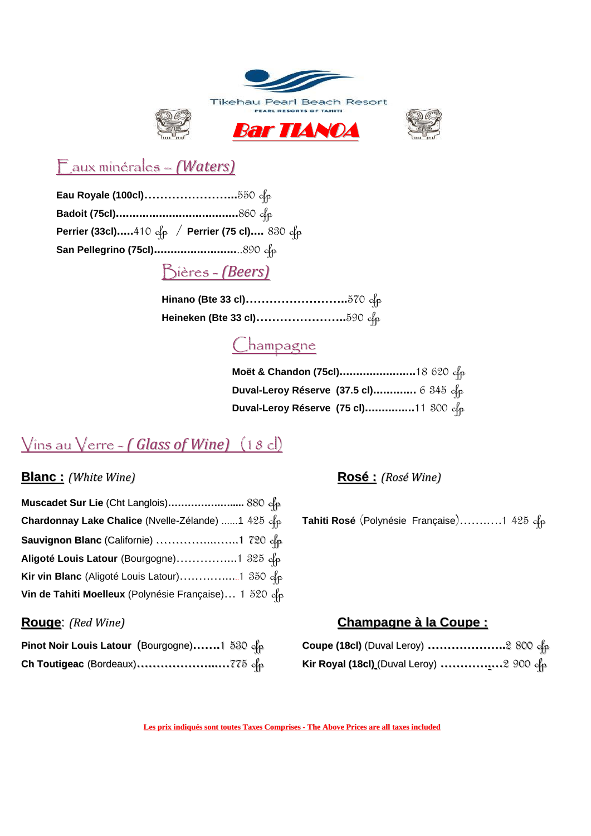



## Eaux minérales – *(Waters)*

**Eau Royale (100cl)…………………...**550 cfp **Badoit (75cl).....................................**860 cfp **Perrier (33cl).....**410 cfp / **Perrier (75 cl)....** 830 cfp **San Pellegrino (75cl).........................**..890 cfp

### Bières - *(Beers)*

**Hinano (Bte 33 cl)……………………..**570 cfp **Heineken (Bte 33 cl)…………………..**590 cfp

## <u>Champagne</u>

| Moët & Chandon (75cl)18 620 c/ρ         |  |
|-----------------------------------------|--|
| Duval-Leroy Réserve (37.5 cl) 6 345 c/ρ |  |
| Duval-Leroy Réserve (75 cl)11 300 c/p   |  |

## Vins au Verre - *( Glass of Wine)* (18 cl)

#### **Blanc :** *(White Wine)* **Rosé :** *(Rosé Wine)*

| Muscadet Sur Lie (Cht Langlois) 880 c/p                |  |
|--------------------------------------------------------|--|
| Chardonnay Lake Chalice (Nvelle-Zélande) 1 425 cp      |  |
| <b>Sauvignon Blanc</b> (Californie)  1 720 $\alpha$    |  |
| Aligoté Louis Latour (Bourgogne)1 325 c/p              |  |
|                                                        |  |
| Vin de Tahiti Moelleux (Polynésie Française) 1 520 c/p |  |

**Chardonnay Lake Chalice** (Nvelle-Zélande) ......1 425 cfp **Tahiti Rosé** (Polynésie Française)…….….1 425 cfp

| Pinot Noir Louis Latour (Bourgogne)1 530 cfp |  |
|----------------------------------------------|--|
|                                              |  |

#### **Rouge**: *(Red Wine)* **Champagne à la Coupe :**

| Pinot Noir Louis Latour  (Bourgogne)…….1  530 <i>ci</i> p | Coupe (18cl) (Duval Leroy) 2 800 cfp     |
|-----------------------------------------------------------|------------------------------------------|
|                                                           | Kir Royal (18cl) (Duval Leroy) 2 900 c/ρ |